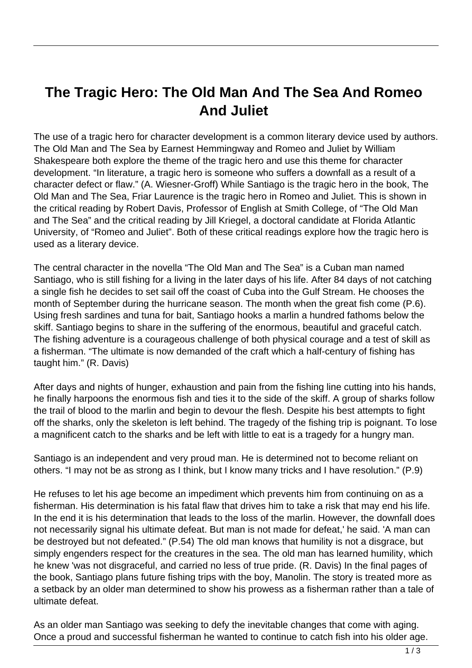## **The Tragic Hero: The Old Man And The Sea And Romeo And Juliet**

The use of a tragic hero for character development is a common literary device used by authors. The Old Man and The Sea by Earnest Hemmingway and Romeo and Juliet by William Shakespeare both explore the theme of the tragic hero and use this theme for character development. "In literature, a tragic hero is someone who suffers a downfall as a result of a character defect or flaw." (A. Wiesner-Groff) While Santiago is the tragic hero in the book, The Old Man and The Sea, Friar Laurence is the tragic hero in Romeo and Juliet. This is shown in the critical reading by Robert Davis, Professor of English at Smith College, of "The Old Man and The Sea" and the critical reading by Jill Kriegel, a doctoral candidate at Florida Atlantic University, of "Romeo and Juliet". Both of these critical readings explore how the tragic hero is used as a literary device.

The central character in the novella "The Old Man and The Sea" is a Cuban man named Santiago, who is still fishing for a living in the later days of his life. After 84 days of not catching a single fish he decides to set sail off the coast of Cuba into the Gulf Stream. He chooses the month of September during the hurricane season. The month when the great fish come (P.6). Using fresh sardines and tuna for bait, Santiago hooks a marlin a hundred fathoms below the skiff. Santiago begins to share in the suffering of the enormous, beautiful and graceful catch. The fishing adventure is a courageous challenge of both physical courage and a test of skill as a fisherman. "The ultimate is now demanded of the craft which a half-century of fishing has taught him." (R. Davis)

After days and nights of hunger, exhaustion and pain from the fishing line cutting into his hands, he finally harpoons the enormous fish and ties it to the side of the skiff. A group of sharks follow the trail of blood to the marlin and begin to devour the flesh. Despite his best attempts to fight off the sharks, only the skeleton is left behind. The tragedy of the fishing trip is poignant. To lose a magnificent catch to the sharks and be left with little to eat is a tragedy for a hungry man.

Santiago is an independent and very proud man. He is determined not to become reliant on others. "I may not be as strong as I think, but I know many tricks and I have resolution." (P.9)

He refuses to let his age become an impediment which prevents him from continuing on as a fisherman. His determination is his fatal flaw that drives him to take a risk that may end his life. In the end it is his determination that leads to the loss of the marlin. However, the downfall does not necessarily signal his ultimate defeat. But man is not made for defeat,' he said. 'A man can be destroyed but not defeated." (P.54) The old man knows that humility is not a disgrace, but simply engenders respect for the creatures in the sea. The old man has learned humility, which he knew 'was not disgraceful, and carried no less of true pride. (R. Davis) In the final pages of the book, Santiago plans future fishing trips with the boy, Manolin. The story is treated more as a setback by an older man determined to show his prowess as a fisherman rather than a tale of ultimate defeat.

As an older man Santiago was seeking to defy the inevitable changes that come with aging. Once a proud and successful fisherman he wanted to continue to catch fish into his older age.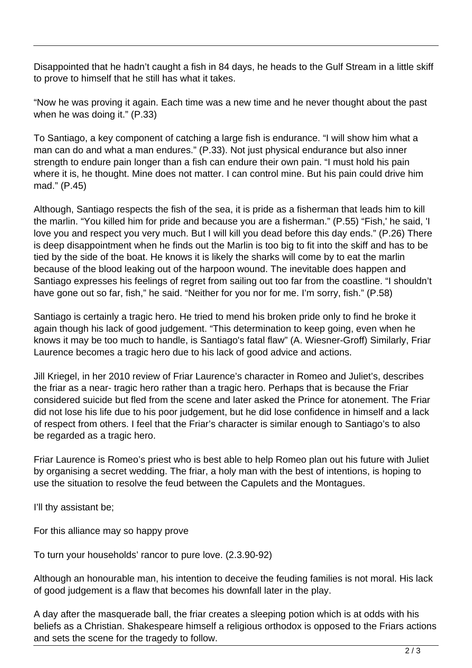Disappointed that he hadn't caught a fish in 84 days, he heads to the Gulf Stream in a little skiff to prove to himself that he still has what it takes.

"Now he was proving it again. Each time was a new time and he never thought about the past when he was doing it." (P.33)

To Santiago, a key component of catching a large fish is endurance. "I will show him what a man can do and what a man endures." (P.33). Not just physical endurance but also inner strength to endure pain longer than a fish can endure their own pain. "I must hold his pain where it is, he thought. Mine does not matter. I can control mine. But his pain could drive him mad." (P.45)

Although, Santiago respects the fish of the sea, it is pride as a fisherman that leads him to kill the marlin. "You killed him for pride and because you are a fisherman." (P.55) "Fish,' he said, 'I love you and respect you very much. But I will kill you dead before this day ends." (P.26) There is deep disappointment when he finds out the Marlin is too big to fit into the skiff and has to be tied by the side of the boat. He knows it is likely the sharks will come by to eat the marlin because of the blood leaking out of the harpoon wound. The inevitable does happen and Santiago expresses his feelings of regret from sailing out too far from the coastline. "I shouldn't have gone out so far, fish," he said. "Neither for you nor for me. I'm sorry, fish." (P.58)

Santiago is certainly a tragic hero. He tried to mend his broken pride only to find he broke it again though his lack of good judgement. "This determination to keep going, even when he knows it may be too much to handle, is Santiago's fatal flaw" (A. Wiesner-Groff) Similarly, Friar Laurence becomes a tragic hero due to his lack of good advice and actions.

Jill Kriegel, in her 2010 review of Friar Laurence's character in Romeo and Juliet's, describes the friar as a near- tragic hero rather than a tragic hero. Perhaps that is because the Friar considered suicide but fled from the scene and later asked the Prince for atonement. The Friar did not lose his life due to his poor judgement, but he did lose confidence in himself and a lack of respect from others. I feel that the Friar's character is similar enough to Santiago's to also be regarded as a tragic hero.

Friar Laurence is Romeo's priest who is best able to help Romeo plan out his future with Juliet by organising a secret wedding. The friar, a holy man with the best of intentions, is hoping to use the situation to resolve the feud between the Capulets and the Montagues.

I'll thy assistant be;

For this alliance may so happy prove

To turn your households' rancor to pure love. (2.3.90-92)

Although an honourable man, his intention to deceive the feuding families is not moral. His lack of good judgement is a flaw that becomes his downfall later in the play.

A day after the masquerade ball, the friar creates a sleeping potion which is at odds with his beliefs as a Christian. Shakespeare himself a religious orthodox is opposed to the Friars actions and sets the scene for the tragedy to follow.